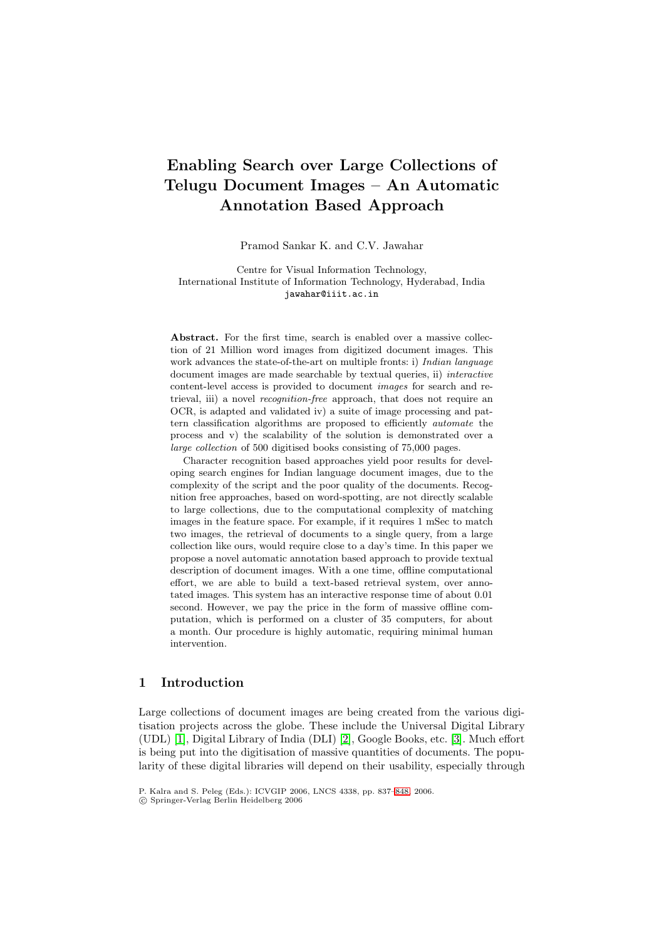# **Enabling Search over Large Collections of Telugu Document Images – An Automatic Annotation Based Approach**

Pramod Sankar K. and C.V. Jawahar

Centre for Visual Information Technology, International Institute of Information Technology, Hyderabad, India jawahar@iiit.ac.in

Abstract. For the first time, search is enabled over a massive collection of 21 Million word images from digitized document images. This work advances the state-of-the-art on multiple fronts: i) *Indian language* document images are made searchable by textual queries, ii) *interactive* content-level access is provided to document *images* for search and retrieval, iii) a novel *recognition-free* approach, that does not require an OCR, is adapted and validated iv) a suite of image processing and pattern classification algorithms are proposed to efficiently *automate* the process and v) the scalability of the solution is demonstrated over a *large collection* of 500 digitised books consisting of 75,000 pages.

Character recognition based approaches yield poor results for developing search engines for Indian language document images, due to the complexity of the script and the poor quality of the documents. Recognition free approaches, based on word-spotting, are not directly scalable to large collections, due to the computational complexity of matching images in the feature space. For example, if it requires 1 mSec to match two images, the retrieval of documents to a single query, from a large collection like ours, would require close to a day's time. In this paper we propose a novel automatic annotation based approach to provide textual description of document images. With a one time, offline computational effort, we are able to build a text-based retrieval system, over annotated images. This system has an interactive response time of about 0.01 second. However, we pay the price in the form of massive offline computation, which is performed on a cluster of 35 computers, for about a month. Our procedure is highly automatic, requiring minimal human intervention.

## **1 Introduction**

Large collections of document images are being created from the various digitisation projects across the globe. These include the Universal Digital Library (UDL) [\[1\]](#page-10-0), Digital Library of India (DLI) [\[2\]](#page-10-1), Google Books, etc. [\[3\]](#page-10-2). Much effort is being put into the digitisation of massive quantities of documents. The popularity of these digital libraries will depend on their usability, especially through

P. Kalra and S. Peleg (Eds.): ICVGIP 2006, LNCS 4338, pp. 837[–848,](#page-10-3) 2006.

<sup>-</sup>c Springer-Verlag Berlin Heidelberg 2006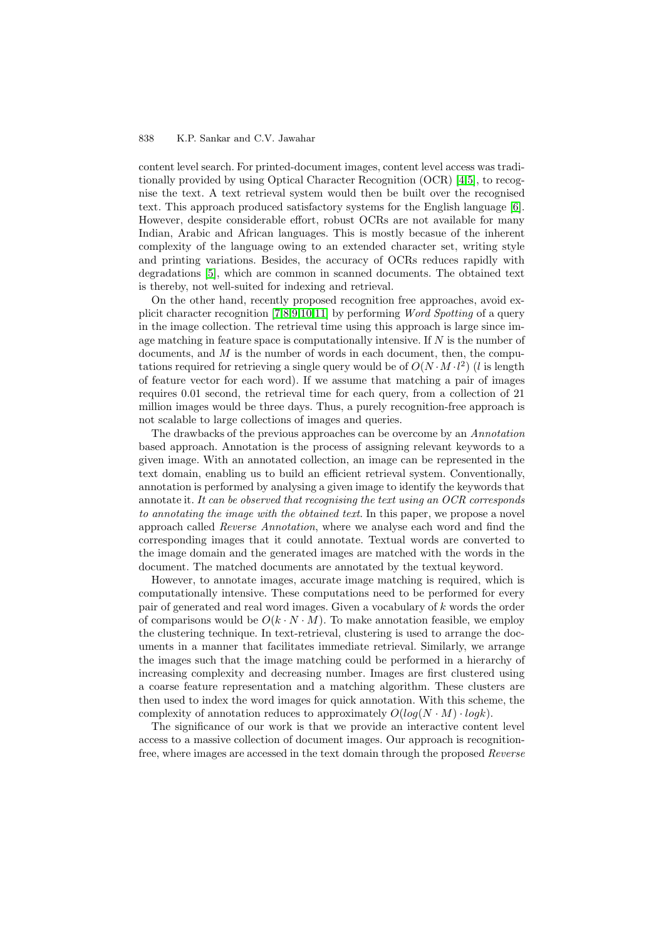content level search. For printed-document images, content level access was traditionally provided by using Optical Character Recognition (OCR) [\[4](#page-10-4)[,5\]](#page-10-5), to recognise the text. A text retrieval system would then be built over the recognised text. This approach produced satisfactory systems for the English language [\[6\]](#page-10-6). However, despite considerable effort, robust OCRs are not available for many Indian, Arabic and African languages. This is mostly becasue of the inherent complexity of the language owing to an extended character set, writing style and printing variations. Besides, the accuracy of OCRs reduces rapidly with degradations [\[5\]](#page-10-5), which are common in scanned documents. The obtained text is thereby, not well-suited for indexing and retrieval.

On the other hand, recently proposed recognition free approaches, avoid explicit character recognition [\[7](#page-10-7)[,8](#page-10-8)[,9](#page-10-9)[,10](#page-10-10)[,11\]](#page-10-11) by performing *Word Spotting* of a query in the image collection. The retrieval time using this approach is large since image matching in feature space is computationally intensive. If *N* is the number of documents, and *M* is the number of words in each document, then, the computations required for retrieving a single query would be of  $O(N \cdot M \cdot l^2)$  (*l* is length of feature vector for each word). If we assume that matching a pair of images requires 0.01 second, the retrieval time for each query, from a collection of 21 million images would be three days. Thus, a purely recognition-free approach is not scalable to large collections of images and queries.

The drawbacks of the previous approaches can be overcome by an *Annotation* based approach. Annotation is the process of assigning relevant keywords to a given image. With an annotated collection, an image can be represented in the text domain, enabling us to build an efficient retrieval system. Conventionally, annotation is performed by analysing a given image to identify the keywords that annotate it. *It can be observed that recognising the text using an OCR corresponds to annotating the image with the obtained text*. In this paper, we propose a novel approach called *Reverse Annotation*, where we analyse each word and find the corresponding images that it could annotate. Textual words are converted to the image domain and the generated images are matched with the words in the document. The matched documents are annotated by the textual keyword.

However, to annotate images, accurate image matching is required, which is computationally intensive. These computations need to be performed for every pair of generated and real word images. Given a vocabulary of *k* words the order of comparisons would be  $O(k \cdot N \cdot M)$ . To make annotation feasible, we employ the clustering technique. In text-retrieval, clustering is used to arrange the documents in a manner that facilitates immediate retrieval. Similarly, we arrange the images such that the image matching could be performed in a hierarchy of increasing complexity and decreasing number. Images are first clustered using a coarse feature representation and a matching algorithm. These clusters are then used to index the word images for quick annotation. With this scheme, the complexity of annotation reduces to approximately  $O(log(N \cdot M) \cdot log k)$ .

The significance of our work is that we provide an interactive content level access to a massive collection of document images. Our approach is recognitionfree, where images are accessed in the text domain through the proposed *Reverse*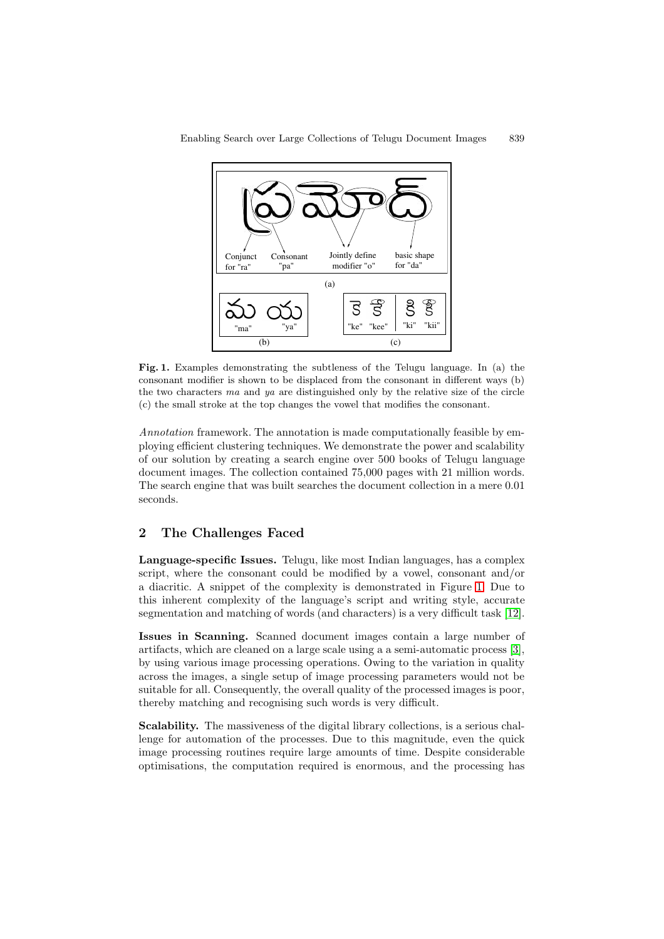

<span id="page-2-0"></span>**Fig. 1.** Examples demonstrating the subtleness of the Telugu language. In (a) the consonant modifier is shown to be displaced from the consonant in different ways (b) the two characters *ma* and *ya* are distinguished only by the relative size of the circle (c) the small stroke at the top changes the vowel that modifies the consonant.

*Annotation* framework. The annotation is made computationally feasible by employing efficient clustering techniques. We demonstrate the power and scalability of our solution by creating a search engine over 500 books of Telugu language document images. The collection contained 75,000 pages with 21 million words. The search engine that was built searches the document collection in a mere 0.01 seconds.

## **2 The Challenges Faced**

**Language-specific Issues.** Telugu, like most Indian languages, has a complex script, where the consonant could be modified by a vowel, consonant and/or a diacritic. A snippet of the complexity is demonstrated in Figure [1.](#page-2-0) Due to this inherent complexity of the language's script and writing style, accurate segmentation and matching of words (and characters) is a very difficult task [\[12\]](#page-11-0).

**Issues in Scanning.** Scanned document images contain a large number of artifacts, which are cleaned on a large scale using a a semi-automatic process [\[3\]](#page-10-2), by using various image processing operations. Owing to the variation in quality across the images, a single setup of image processing parameters would not be suitable for all. Consequently, the overall quality of the processed images is poor, thereby matching and recognising such words is very difficult.

**Scalability.** The massiveness of the digital library collections, is a serious challenge for automation of the processes. Due to this magnitude, even the quick image processing routines require large amounts of time. Despite considerable optimisations, the computation required is enormous, and the processing has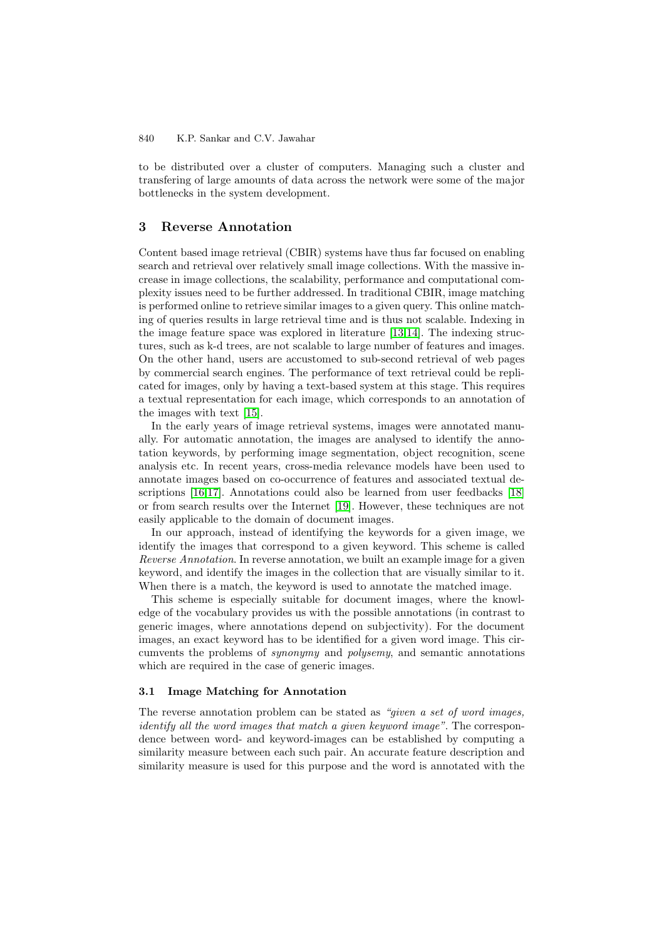to be distributed over a cluster of computers. Managing such a cluster and transfering of large amounts of data across the network were some of the major bottlenecks in the system development.

## **3 Reverse Annotation**

Content based image retrieval (CBIR) systems have thus far focused on enabling search and retrieval over relatively small image collections. With the massive increase in image collections, the scalability, performance and computational complexity issues need to be further addressed. In traditional CBIR, image matching is performed online to retrieve similar images to a given query. This online matching of queries results in large retrieval time and is thus not scalable. Indexing in the image feature space was explored in literature [\[13](#page-11-1)[,14\]](#page-11-2). The indexing structures, such as k-d trees, are not scalable to large number of features and images. On the other hand, users are accustomed to sub-second retrieval of web pages by commercial search engines. The performance of text retrieval could be replicated for images, only by having a text-based system at this stage. This requires a textual representation for each image, which corresponds to an annotation of the images with text [\[15\]](#page-11-3).

In the early years of image retrieval systems, images were annotated manually. For automatic annotation, the images are analysed to identify the annotation keywords, by performing image segmentation, object recognition, scene analysis etc. In recent years, cross-media relevance models have been used to annotate images based on co-occurrence of features and associated textual de-scriptions [\[16,](#page-11-4)[17\]](#page-11-5). Annotations could also be learned from user feedbacks [\[18\]](#page-11-6) or from search results over the Internet [\[19\]](#page-11-7). However, these techniques are not easily applicable to the domain of document images.

In our approach, instead of identifying the keywords for a given image, we identify the images that correspond to a given keyword. This scheme is called *Reverse Annotation*. In reverse annotation, we built an example image for a given keyword, and identify the images in the collection that are visually similar to it. When there is a match, the keyword is used to annotate the matched image.

This scheme is especially suitable for document images, where the knowledge of the vocabulary provides us with the possible annotations (in contrast to generic images, where annotations depend on subjectivity). For the document images, an exact keyword has to be identified for a given word image. This circumvents the problems of *synonymy* and *polysemy*, and semantic annotations which are required in the case of generic images.

### **3.1 Image Matching for Annotation**

The reverse annotation problem can be stated as *"given a set of word images, identify all the word images that match a given keyword image"*. The correspondence between word- and keyword-images can be established by computing a similarity measure between each such pair. An accurate feature description and similarity measure is used for this purpose and the word is annotated with the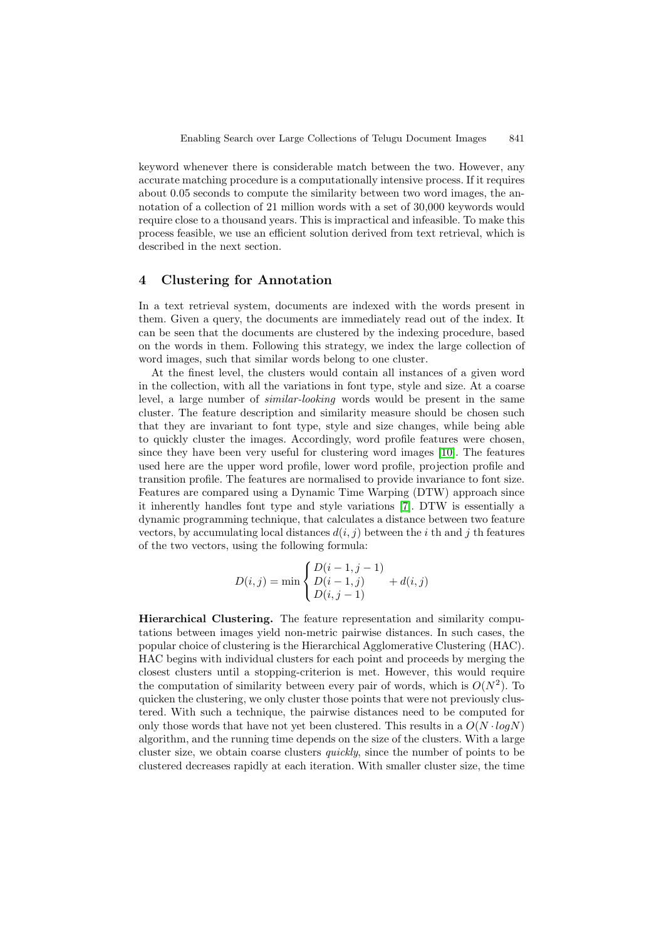keyword whenever there is considerable match between the two. However, any accurate matching procedure is a computationally intensive process. If it requires about 0.05 seconds to compute the similarity between two word images, the annotation of a collection of 21 million words with a set of 30,000 keywords would require close to a thousand years. This is impractical and infeasible. To make this process feasible, we use an efficient solution derived from text retrieval, which is described in the next section.

## **4 Clustering for Annotation**

In a text retrieval system, documents are indexed with the words present in them. Given a query, the documents are immediately read out of the index. It can be seen that the documents are clustered by the indexing procedure, based on the words in them. Following this strategy, we index the large collection of word images, such that similar words belong to one cluster.

At the finest level, the clusters would contain all instances of a given word in the collection, with all the variations in font type, style and size. At a coarse level, a large number of *similar-looking* words would be present in the same cluster. The feature description and similarity measure should be chosen such that they are invariant to font type, style and size changes, while being able to quickly cluster the images. Accordingly, word profile features were chosen, since they have been very useful for clustering word images [\[10\]](#page-10-10). The features used here are the upper word profile, lower word profile, projection profile and transition profile. The features are normalised to provide invariance to font size. Features are compared using a Dynamic Time Warping (DTW) approach since it inherently handles font type and style variations [\[7\]](#page-10-7). DTW is essentially a dynamic programming technique, that calculates a distance between two feature vectors, by accumulating local distances  $d(i, j)$  between the *i* th and *j* th features of the two vectors, using the following formula:

$$
D(i,j) = \min \begin{cases} D(i-1,j-1) \\ D(i-1,j) \\ D(i,j-1) \end{cases} + d(i,j)
$$

**Hierarchical Clustering.** The feature representation and similarity computations between images yield non-metric pairwise distances. In such cases, the popular choice of clustering is the Hierarchical Agglomerative Clustering (HAC). HAC begins with individual clusters for each point and proceeds by merging the closest clusters until a stopping-criterion is met. However, this would require the computation of similarity between every pair of words, which is  $O(N^2)$ . To quicken the clustering, we only cluster those points that were not previously clustered. With such a technique, the pairwise distances need to be computed for only those words that have not yet been clustered. This results in a  $O(N \cdot log N)$ algorithm, and the running time depends on the size of the clusters. With a large cluster size, we obtain coarse clusters *quickly*, since the number of points to be clustered decreases rapidly at each iteration. With smaller cluster size, the time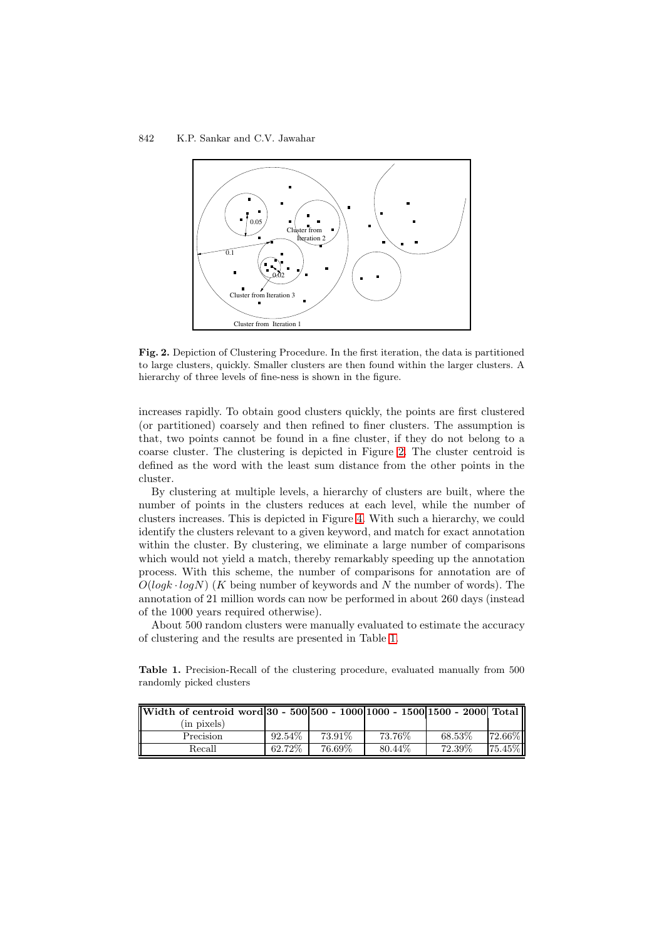

<span id="page-5-0"></span>**Fig. 2.** Depiction of Clustering Procedure. In the first iteration, the data is partitioned to large clusters, quickly. Smaller clusters are then found within the larger clusters. A hierarchy of three levels of fine-ness is shown in the figure.

increases rapidly. To obtain good clusters quickly, the points are first clustered (or partitioned) coarsely and then refined to finer clusters. The assumption is that, two points cannot be found in a fine cluster, if they do not belong to a coarse cluster. The clustering is depicted in Figure [2.](#page-5-0) The cluster centroid is defined as the word with the least sum distance from the other points in the cluster.

By clustering at multiple levels, a hierarchy of clusters are built, where the number of points in the clusters reduces at each level, while the number of clusters increases. This is depicted in Figure [4.](#page-8-0) With such a hierarchy, we could identify the clusters relevant to a given keyword, and match for exact annotation within the cluster. By clustering, we eliminate a large number of comparisons which would not yield a match, thereby remarkably speeding up the annotation process. With this scheme, the number of comparisons for annotation are of *O*(*logk · logN*) (*K* being number of keywords and *N* the number of words). The annotation of 21 million words can now be performed in about 260 days (instead of the 1000 years required otherwise).

About 500 random clusters were manually evaluated to estimate the accuracy of clustering and the results are presented in Table [1.](#page-5-1)

<span id="page-5-1"></span>**Table 1.** Precision-Recall of the clustering procedure, evaluated manually from 500 randomly picked clusters

| Width of centroid word 30 - 500 500 - 1000 1000 - 1500 1500 - 2000 Total |        |         |         |        |        |
|--------------------------------------------------------------------------|--------|---------|---------|--------|--------|
| (in pixels)                                                              |        |         |         |        |        |
| Precision                                                                | 92.54% | 73.91\% | 73.76%  | 68.53% | 72.66% |
| Recall                                                                   | 62.72% | 76.69%  | 80.44\% | 72.39% | 75.45% |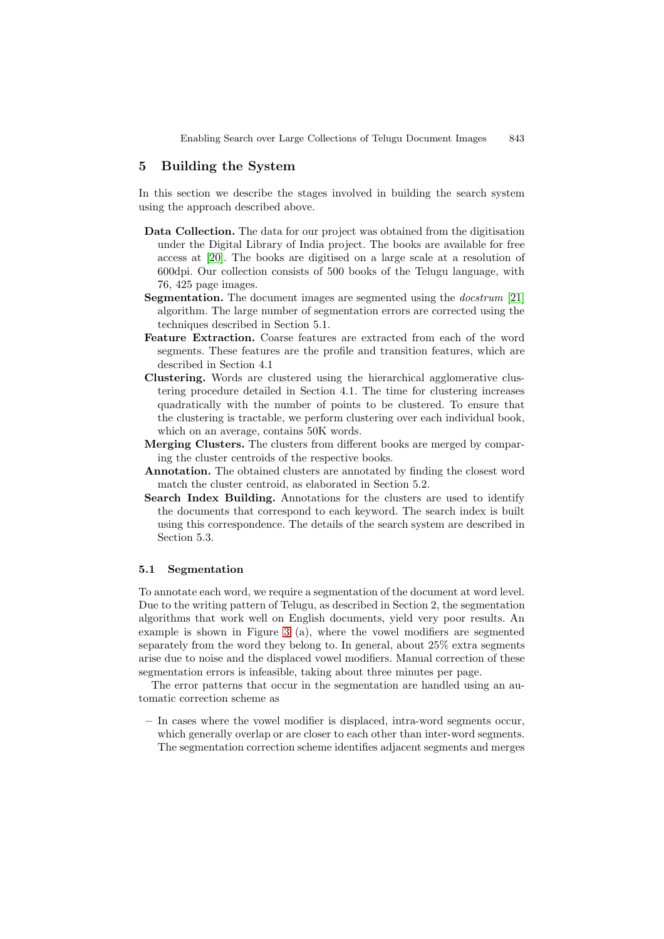## **5 Building the System**

In this section we describe the stages involved in building the search system using the approach described above.

- **Data Collection.** The data for our project was obtained from the digitisation under the Digital Library of India project. The books are available for free access at [\[20\]](#page-11-8). The books are digitised on a large scale at a resolution of 600dpi. Our collection consists of 500 books of the Telugu language, with 76, 425 page images.
- **Segmentation.** The document images are segmented using the *docstrum* [\[21\]](#page-11-9) algorithm. The large number of segmentation errors are corrected using the techniques described in Section 5.1.
- **Feature Extraction.** Coarse features are extracted from each of the word segments. These features are the profile and transition features, which are described in Section 4.1
- **Clustering.** Words are clustered using the hierarchical agglomerative clustering procedure detailed in Section 4.1. The time for clustering increases quadratically with the number of points to be clustered. To ensure that the clustering is tractable, we perform clustering over each individual book, which on an average, contains 50K words.
- **Merging Clusters.** The clusters from different books are merged by comparing the cluster centroids of the respective books.
- **Annotation.** The obtained clusters are annotated by finding the closest word match the cluster centroid, as elaborated in Section 5.2.
- **Search Index Building.** Annotations for the clusters are used to identify the documents that correspond to each keyword. The search index is built using this correspondence. The details of the search system are described in Section 5.3.

#### **5.1 Segmentation**

To annotate each word, we require a segmentation of the document at word level. Due to the writing pattern of Telugu, as described in Section 2, the segmentation algorithms that work well on English documents, yield very poor results. An example is shown in Figure [3](#page-7-0) (a), where the vowel modifiers are segmented separately from the word they belong to. In general, about 25% extra segments arise due to noise and the displaced vowel modifiers. Manual correction of these segmentation errors is infeasible, taking about three minutes per page.

The error patterns that occur in the segmentation are handled using an automatic correction scheme as

**–** In cases where the vowel modifier is displaced, intra-word segments occur, which generally overlap or are closer to each other than inter-word segments. The segmentation correction scheme identifies adjacent segments and merges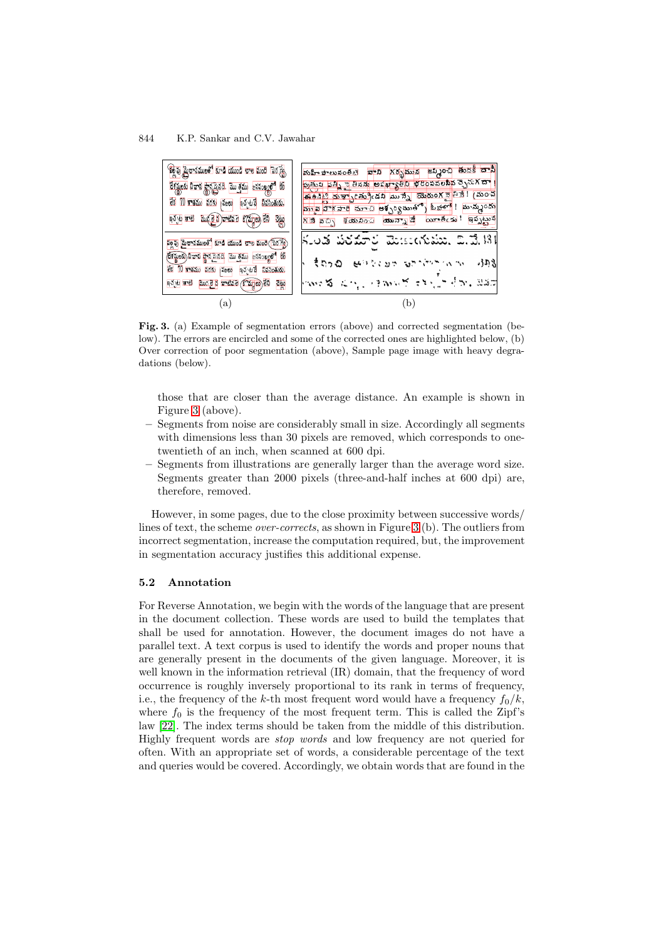

<span id="page-7-0"></span>**Fig. 3.** (a) Example of segmentation errors (above) and corrected segmentation (below). The errors are encircled and some of the corrected ones are highlighted below, (b) Over correction of poor segmentation (above), Sample page image with heavy degradations (below).

those that are closer than the average distance. An example is shown in Figure [3](#page-7-0) (above).

- **–** Segments from noise are considerably small in size. Accordingly all segments with dimensions less than 30 pixels are removed, which corresponds to onetwentieth of an inch, when scanned at 600 dpi.
- **–** Segments from illustrations are generally larger than the average word size. Segments greater than 2000 pixels (three-and-half inches at 600 dpi) are, therefore, removed.

However, in some pages, due to the close proximity between successive words/ lines of text, the scheme *over-corrects*, as shown in Figure [3](#page-7-0) (b). The outliers from incorrect segmentation, increase the computation required, but, the improvement in segmentation accuracy justifies this additional expense.

#### **5.2 Annotation**

For Reverse Annotation, we begin with the words of the language that are present in the document collection. These words are used to build the templates that shall be used for annotation. However, the document images do not have a parallel text. A text corpus is used to identify the words and proper nouns that are generally present in the documents of the given language. Moreover, it is well known in the information retrieval (IR) domain, that the frequency of word occurrence is roughly inversely proportional to its rank in terms of frequency, i.e., the frequency of the *k*-th most frequent word would have a frequency  $f_0/k$ , where  $f_0$  is the frequency of the most frequent term. This is called the Zipf's law [\[22\]](#page-11-10). The index terms should be taken from the middle of this distribution. Highly frequent words are *stop words* and low frequency are not queried for often. With an appropriate set of words, a considerable percentage of the text and queries would be covered. Accordingly, we obtain words that are found in the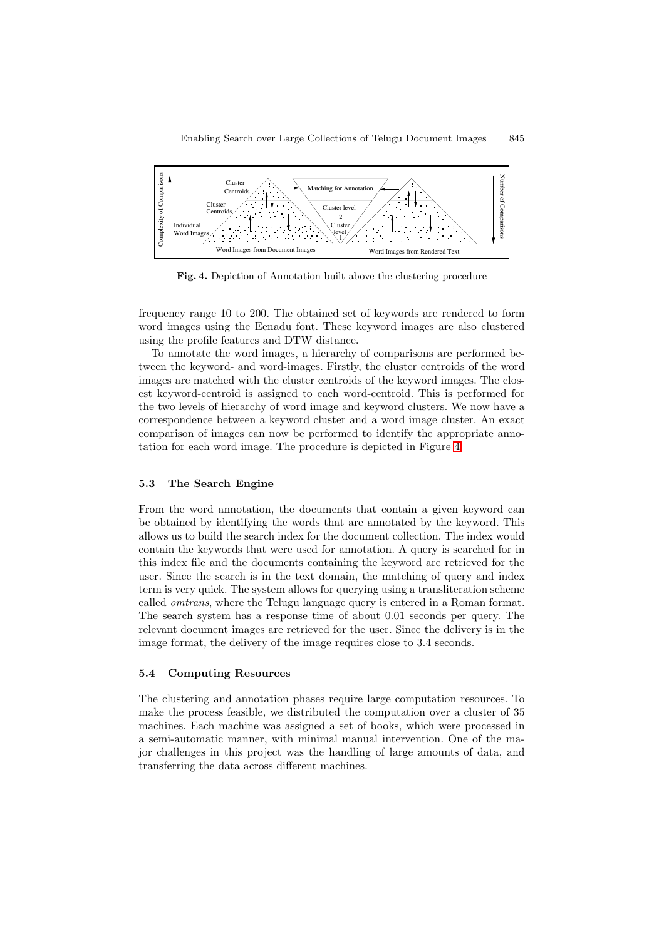

**Fig. 4.** Depiction of Annotation built above the clustering procedure

<span id="page-8-0"></span>frequency range 10 to 200. The obtained set of keywords are rendered to form word images using the Eenadu font. These keyword images are also clustered using the profile features and DTW distance.

To annotate the word images, a hierarchy of comparisons are performed between the keyword- and word-images. Firstly, the cluster centroids of the word images are matched with the cluster centroids of the keyword images. The closest keyword-centroid is assigned to each word-centroid. This is performed for the two levels of hierarchy of word image and keyword clusters. We now have a correspondence between a keyword cluster and a word image cluster. An exact comparison of images can now be performed to identify the appropriate annotation for each word image. The procedure is depicted in Figure [4.](#page-8-0)

#### **5.3 The Search Engine**

From the word annotation, the documents that contain a given keyword can be obtained by identifying the words that are annotated by the keyword. This allows us to build the search index for the document collection. The index would contain the keywords that were used for annotation. A query is searched for in this index file and the documents containing the keyword are retrieved for the user. Since the search is in the text domain, the matching of query and index term is very quick. The system allows for querying using a transliteration scheme called *omtrans*, where the Telugu language query is entered in a Roman format. The search system has a response time of about 0.01 seconds per query. The relevant document images are retrieved for the user. Since the delivery is in the image format, the delivery of the image requires close to 3.4 seconds.

#### **5.4 Computing Resources**

The clustering and annotation phases require large computation resources. To make the process feasible, we distributed the computation over a cluster of 35 machines. Each machine was assigned a set of books, which were processed in a semi-automatic manner, with minimal manual intervention. One of the major challenges in this project was the handling of large amounts of data, and transferring the data across different machines.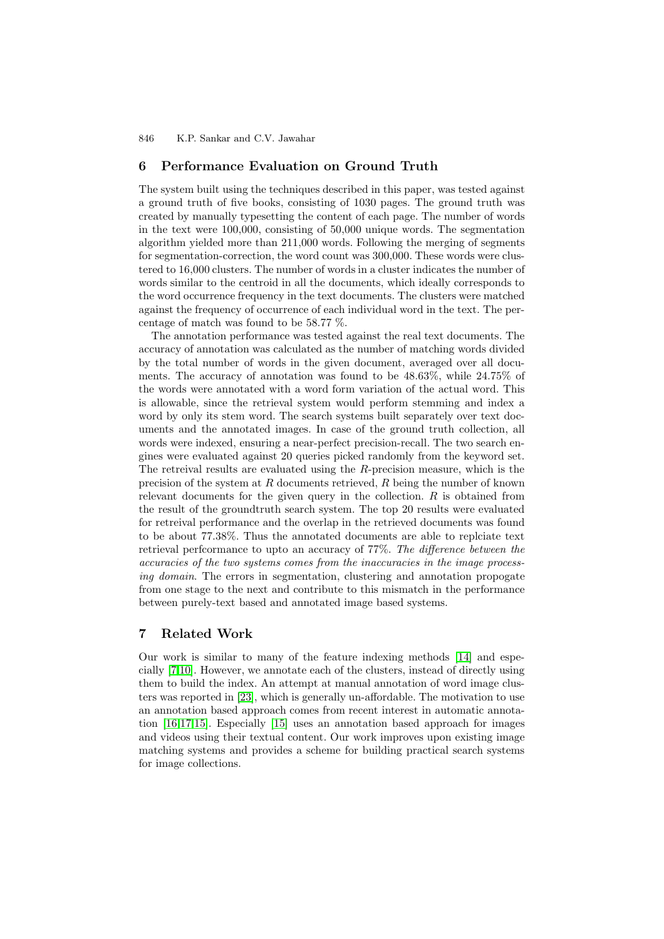## **6 Performance Evaluation on Ground Truth**

The system built using the techniques described in this paper, was tested against a ground truth of five books, consisting of 1030 pages. The ground truth was created by manually typesetting the content of each page. The number of words in the text were 100,000, consisting of 50,000 unique words. The segmentation algorithm yielded more than 211,000 words. Following the merging of segments for segmentation-correction, the word count was 300,000. These words were clustered to 16,000 clusters. The number of words in a cluster indicates the number of words similar to the centroid in all the documents, which ideally corresponds to the word occurrence frequency in the text documents. The clusters were matched against the frequency of occurrence of each individual word in the text. The percentage of match was found to be 58.77 %.

The annotation performance was tested against the real text documents. The accuracy of annotation was calculated as the number of matching words divided by the total number of words in the given document, averaged over all documents. The accuracy of annotation was found to be 48.63%, while 24.75% of the words were annotated with a word form variation of the actual word. This is allowable, since the retrieval system would perform stemming and index a word by only its stem word. The search systems built separately over text documents and the annotated images. In case of the ground truth collection, all words were indexed, ensuring a near-perfect precision-recall. The two search engines were evaluated against 20 queries picked randomly from the keyword set. The retreival results are evaluated using the *R*-precision measure, which is the precision of the system at *R* documents retrieved, *R* being the number of known relevant documents for the given query in the collection. *R* is obtained from the result of the groundtruth search system. The top 20 results were evaluated for retreival performance and the overlap in the retrieved documents was found to be about 77.38%. Thus the annotated documents are able to replciate text retrieval perfcormance to upto an accuracy of 77%. *The difference between the accuracies of the two systems comes from the inaccuracies in the image processing domain*. The errors in segmentation, clustering and annotation propogate from one stage to the next and contribute to this mismatch in the performance between purely-text based and annotated image based systems.

## **7 Related Work**

Our work is similar to many of the feature indexing methods [\[14\]](#page-11-2) and especially [\[7,](#page-10-7)[10\]](#page-10-10). However, we annotate each of the clusters, instead of directly using them to build the index. An attempt at manual annotation of word image clusters was reported in [\[23\]](#page-11-11), which is generally un-affordable. The motivation to use an annotation based approach comes from recent interest in automatic annotation [\[16](#page-11-4)[,17](#page-11-5)[,15\]](#page-11-3). Especially [\[15\]](#page-11-3) uses an annotation based approach for images and videos using their textual content. Our work improves upon existing image matching systems and provides a scheme for building practical search systems for image collections.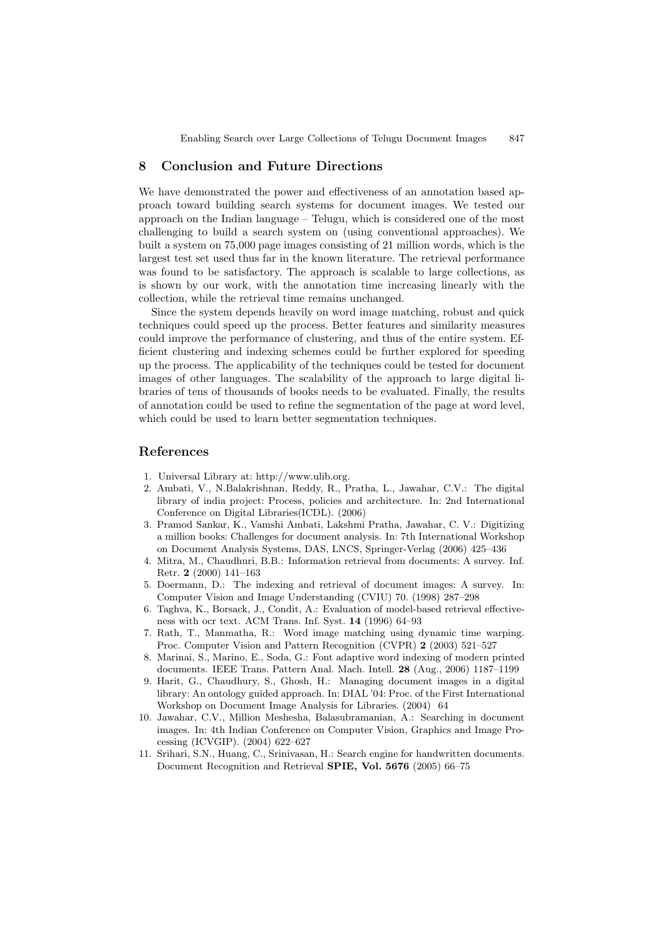## **8 Conclusion and Future Directions**

We have demonstrated the power and effectiveness of an annotation based approach toward building search systems for document images. We tested our approach on the Indian language – Telugu, which is considered one of the most challenging to build a search system on (using conventional approaches). We built a system on 75,000 page images consisting of 21 million words, which is the largest test set used thus far in the known literature. The retrieval performance was found to be satisfactory. The approach is scalable to large collections, as is shown by our work, with the annotation time increasing linearly with the collection, while the retrieval time remains unchanged.

Since the system depends heavily on word image matching, robust and quick techniques could speed up the process. Better features and similarity measures could improve the performance of clustering, and thus of the entire system. Efficient clustering and indexing schemes could be further explored for speeding up the process. The applicability of the techniques could be tested for document images of other languages. The scalability of the approach to large digital libraries of tens of thousands of books needs to be evaluated. Finally, the results of annotation could be used to refine the segmentation of the page at word level, which could be used to learn better segmentation techniques.

### <span id="page-10-3"></span><span id="page-10-1"></span><span id="page-10-0"></span>**References**

- 1. Universal Library at: http://www.ulib.org.
- 2. Ambati, V., N.Balakrishnan, Reddy, R., Pratha, L., Jawahar, C.V.: The digital library of india project: Process, policies and architecture. In: 2nd International Conference on Digital Libraries(ICDL). (2006)
- <span id="page-10-2"></span>3. Pramod Sankar, K., Vamshi Ambati, Lakshmi Pratha, Jawahar, C. V.: Digitizing a million books: Challenges for document analysis. In: 7th International Workshop on Document Analysis Systems, DAS, LNCS, Springer-Verlag (2006) 425–436
- <span id="page-10-4"></span>4. Mitra, M., Chaudhuri, B.B.: Information retrieval from documents: A survey. Inf. Retr. **2** (2000) 141–163
- <span id="page-10-5"></span>5. Doermann, D.: The indexing and retrieval of document images: A survey. In: Computer Vision and Image Understanding (CVIU) 70. (1998) 287–298
- <span id="page-10-6"></span>6. Taghva, K., Borsack, J., Condit, A.: Evaluation of model-based retrieval effectiveness with ocr text. ACM Trans. Inf. Syst. **14** (1996) 64–93
- <span id="page-10-7"></span>7. Rath, T., Manmatha, R.: Word image matching using dynamic time warping. Proc. Computer Vision and Pattern Recognition (CVPR) **2** (2003) 521–527
- <span id="page-10-8"></span>8. Marinai, S., Marino, E., Soda, G.: Font adaptive word indexing of modern printed documents. IEEE Trans. Pattern Anal. Mach. Intell. **28** (Aug., 2006) 1187–1199
- <span id="page-10-9"></span>9. Harit, G., Chaudhury, S., Ghosh, H.: Managing document images in a digital library: An ontology guided approach. In: DIAL '04: Proc. of the First International Workshop on Document Image Analysis for Libraries. (2004) 64
- <span id="page-10-10"></span>10. Jawahar, C.V., Million Meshesha, Balasubramanian, A.: Searching in document images. In: 4th Indian Conference on Computer Vision, Graphics and Image Processing (ICVGIP). (2004) 622–627
- <span id="page-10-11"></span>11. Srihari, S.N., Huang, C., Srinivasan, H.: Search engine for handwritten documents. Document Recognition and Retrieval **SPIE, Vol. 5676** (2005) 66–75